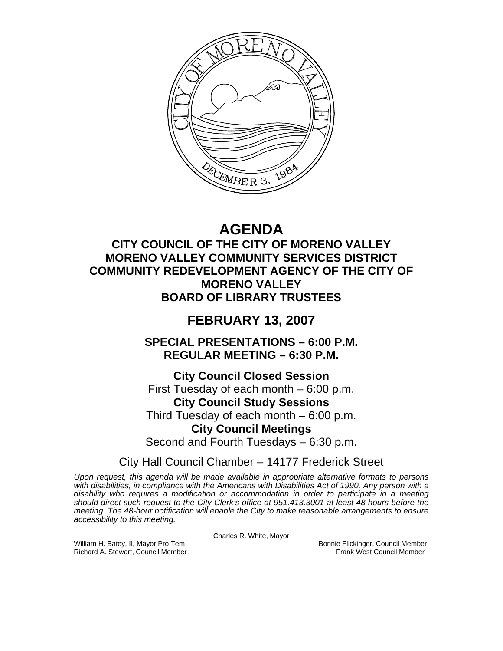

# **AGENDA**

# **CITY COUNCIL OF THE CITY OF MORENO VALLEY MORENO VALLEY COMMUNITY SERVICES DISTRICT COMMUNITY REDEVELOPMENT AGENCY OF THE CITY OF MORENO VALLEY BOARD OF LIBRARY TRUSTEES**

# **FEBRUARY 13, 2007**

**SPECIAL PRESENTATIONS – 6:00 P.M. REGULAR MEETING – 6:30 P.M.** 

**City Council Closed Session**  First Tuesday of each month – 6:00 p.m. **City Council Study Sessions**  Third Tuesday of each month – 6:00 p.m. **City Council Meetings**  Second and Fourth Tuesdays – 6:30 p.m.

City Hall Council Chamber – 14177 Frederick Street

*Upon request, this agenda will be made available in appropriate alternative formats to persons with disabilities, in compliance with the Americans with Disabilities Act of 1990. Any person with a disability who requires a modification or accommodation in order to participate in a meeting should direct such request to the City Clerk's office at 951.413.3001 at least 48 hours before the meeting. The 48-hour notification will enable the City to make reasonable arrangements to ensure accessibility to this meeting.* 

Charles R. White, Mayor

William H. Batey, II, Mayor Pro Tem Bonnie Flickinger, Council Member<br>Richard A. Stewart. Council Member Bonnie Frank West Council Member Richard A. Stewart, Council Member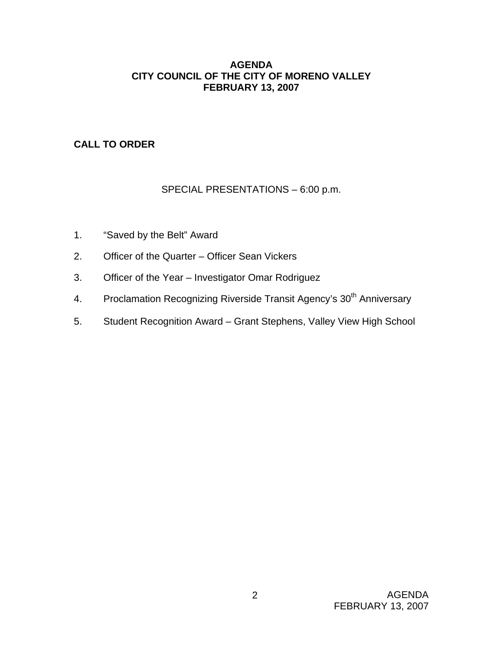# **AGENDA CITY COUNCIL OF THE CITY OF MORENO VALLEY FEBRUARY 13, 2007**

# **CALL TO ORDER**

# SPECIAL PRESENTATIONS – 6:00 p.m.

- 1. "Saved by the Belt" Award
- 2. Officer of the Quarter Officer Sean Vickers
- 3. Officer of the Year Investigator Omar Rodriguez
- 4. Proclamation Recognizing Riverside Transit Agency's 30<sup>th</sup> Anniversary
- 5. Student Recognition Award Grant Stephens, Valley View High School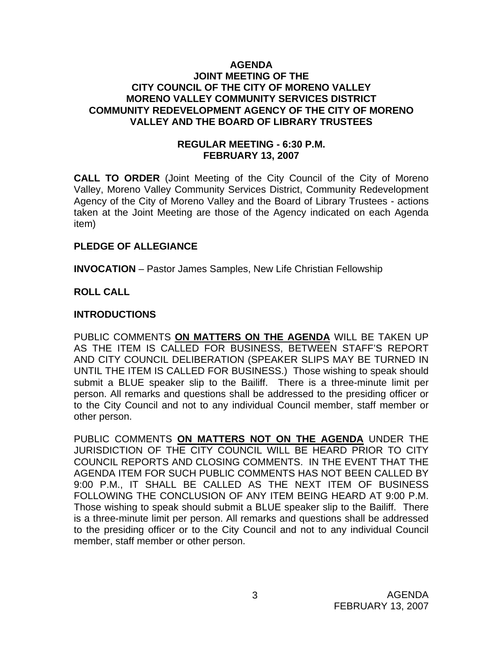### **AGENDA JOINT MEETING OF THE CITY COUNCIL OF THE CITY OF MORENO VALLEY MORENO VALLEY COMMUNITY SERVICES DISTRICT COMMUNITY REDEVELOPMENT AGENCY OF THE CITY OF MORENO VALLEY AND THE BOARD OF LIBRARY TRUSTEES**

### **REGULAR MEETING - 6:30 P.M. FEBRUARY 13, 2007**

**CALL TO ORDER** (Joint Meeting of the City Council of the City of Moreno Valley, Moreno Valley Community Services District, Community Redevelopment Agency of the City of Moreno Valley and the Board of Library Trustees - actions taken at the Joint Meeting are those of the Agency indicated on each Agenda item)

### **PLEDGE OF ALLEGIANCE**

**INVOCATION** – Pastor James Samples, New Life Christian Fellowship

# **ROLL CALL**

# **INTRODUCTIONS**

PUBLIC COMMENTS **ON MATTERS ON THE AGENDA** WILL BE TAKEN UP AS THE ITEM IS CALLED FOR BUSINESS, BETWEEN STAFF'S REPORT AND CITY COUNCIL DELIBERATION (SPEAKER SLIPS MAY BE TURNED IN UNTIL THE ITEM IS CALLED FOR BUSINESS.) Those wishing to speak should submit a BLUE speaker slip to the Bailiff. There is a three-minute limit per person. All remarks and questions shall be addressed to the presiding officer or to the City Council and not to any individual Council member, staff member or other person.

PUBLIC COMMENTS **ON MATTERS NOT ON THE AGENDA** UNDER THE JURISDICTION OF THE CITY COUNCIL WILL BE HEARD PRIOR TO CITY COUNCIL REPORTS AND CLOSING COMMENTS. IN THE EVENT THAT THE AGENDA ITEM FOR SUCH PUBLIC COMMENTS HAS NOT BEEN CALLED BY 9:00 P.M., IT SHALL BE CALLED AS THE NEXT ITEM OF BUSINESS FOLLOWING THE CONCLUSION OF ANY ITEM BEING HEARD AT 9:00 P.M. Those wishing to speak should submit a BLUE speaker slip to the Bailiff. There is a three-minute limit per person. All remarks and questions shall be addressed to the presiding officer or to the City Council and not to any individual Council member, staff member or other person.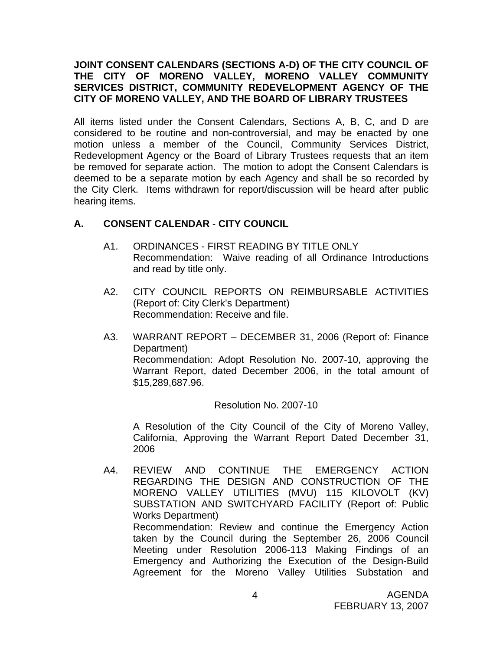# **JOINT CONSENT CALENDARS (SECTIONS A-D) OF THE CITY COUNCIL OF THE CITY OF MORENO VALLEY, MORENO VALLEY COMMUNITY SERVICES DISTRICT, COMMUNITY REDEVELOPMENT AGENCY OF THE CITY OF MORENO VALLEY, AND THE BOARD OF LIBRARY TRUSTEES**

All items listed under the Consent Calendars, Sections A, B, C, and D are considered to be routine and non-controversial, and may be enacted by one motion unless a member of the Council, Community Services District, Redevelopment Agency or the Board of Library Trustees requests that an item be removed for separate action. The motion to adopt the Consent Calendars is deemed to be a separate motion by each Agency and shall be so recorded by the City Clerk. Items withdrawn for report/discussion will be heard after public hearing items.

# **A. CONSENT CALENDAR** - **CITY COUNCIL**

- A1. ORDINANCES FIRST READING BY TITLE ONLY Recommendation: Waive reading of all Ordinance Introductions and read by title only.
- A2. CITY COUNCIL REPORTS ON REIMBURSABLE ACTIVITIES (Report of: City Clerk's Department) Recommendation: Receive and file.
- A3. WARRANT REPORT DECEMBER 31, 2006 (Report of: Finance Department) Recommendation: Adopt Resolution No. 2007-10, approving the Warrant Report, dated December 2006, in the total amount of \$15,289,687.96.

### Resolution No. 2007-10

A Resolution of the City Council of the City of Moreno Valley, California, Approving the Warrant Report Dated December 31, 2006

A4. REVIEW AND CONTINUE THE EMERGENCY ACTION REGARDING THE DESIGN AND CONSTRUCTION OF THE MORENO VALLEY UTILITIES (MVU) 115 KILOVOLT (KV) SUBSTATION AND SWITCHYARD FACILITY (Report of: Public Works Department) Recommendation: Review and continue the Emergency Action taken by the Council during the September 26, 2006 Council Meeting under Resolution 2006-113 Making Findings of an Emergency and Authorizing the Execution of the Design-Build Agreement for the Moreno Valley Utilities Substation and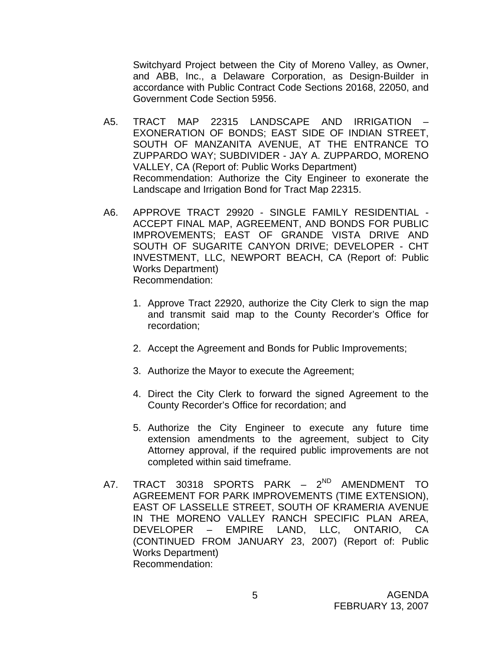Switchyard Project between the City of Moreno Valley, as Owner, and ABB, Inc., a Delaware Corporation, as Design-Builder in accordance with Public Contract Code Sections 20168, 22050, and Government Code Section 5956.

- A5. TRACT MAP 22315 LANDSCAPE AND IRRIGATION EXONERATION OF BONDS; EAST SIDE OF INDIAN STREET, SOUTH OF MANZANITA AVENUE, AT THE ENTRANCE TO ZUPPARDO WAY; SUBDIVIDER - JAY A. ZUPPARDO, MORENO VALLEY, CA (Report of: Public Works Department) Recommendation: Authorize the City Engineer to exonerate the Landscape and Irrigation Bond for Tract Map 22315.
- A6. APPROVE TRACT 29920 SINGLE FAMILY RESIDENTIAL ACCEPT FINAL MAP, AGREEMENT, AND BONDS FOR PUBLIC IMPROVEMENTS; EAST OF GRANDE VISTA DRIVE AND SOUTH OF SUGARITE CANYON DRIVE; DEVELOPER - CHT INVESTMENT, LLC, NEWPORT BEACH, CA (Report of: Public Works Department) Recommendation:
	- 1. Approve Tract 22920, authorize the City Clerk to sign the map and transmit said map to the County Recorder's Office for recordation;
	- 2. Accept the Agreement and Bonds for Public Improvements;
	- 3. Authorize the Mayor to execute the Agreement;
	- 4. Direct the City Clerk to forward the signed Agreement to the County Recorder's Office for recordation; and
	- 5. Authorize the City Engineer to execute any future time extension amendments to the agreement, subject to City Attorney approval, if the required public improvements are not completed within said timeframe.
- A7. TRACT 30318 SPORTS PARK 2<sup>ND</sup> AMENDMENT TO AGREEMENT FOR PARK IMPROVEMENTS (TIME EXTENSION), EAST OF LASSELLE STREET, SOUTH OF KRAMERIA AVENUE IN THE MORENO VALLEY RANCH SPECIFIC PLAN AREA, DEVELOPER – EMPIRE LAND, LLC, ONTARIO, CA (CONTINUED FROM JANUARY 23, 2007) (Report of: Public Works Department) Recommendation: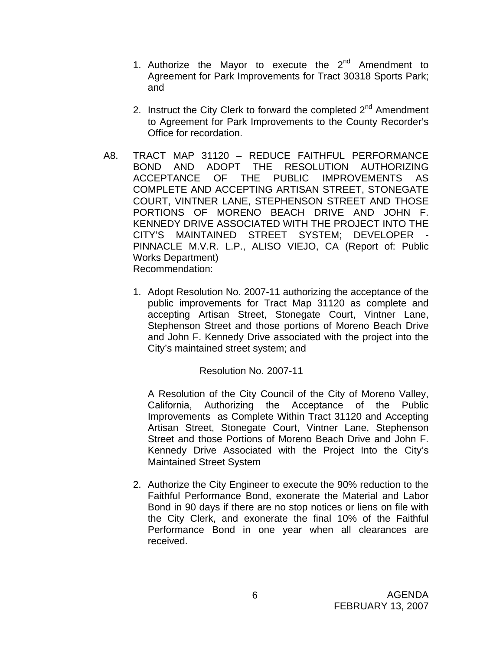- 1. Authorize the Mayor to execute the  $2^{nd}$  Amendment to Agreement for Park Improvements for Tract 30318 Sports Park; and
- 2. Instruct the City Clerk to forward the completed  $2<sup>nd</sup>$  Amendment to Agreement for Park Improvements to the County Recorder's Office for recordation.
- A8. TRACT MAP 31120 REDUCE FAITHFUL PERFORMANCE BOND AND ADOPT THE RESOLUTION AUTHORIZING ACCEPTANCE OF THE PUBLIC IMPROVEMENTS AS COMPLETE AND ACCEPTING ARTISAN STREET, STONEGATE COURT, VINTNER LANE, STEPHENSON STREET AND THOSE PORTIONS OF MORENO BEACH DRIVE AND JOHN F. KENNEDY DRIVE ASSOCIATED WITH THE PROJECT INTO THE CITY'S MAINTAINED STREET SYSTEM; DEVELOPER PINNACLE M.V.R. L.P., ALISO VIEJO, CA (Report of: Public Works Department) Recommendation:
	- 1. Adopt Resolution No. 2007-11 authorizing the acceptance of the public improvements for Tract Map 31120 as complete and accepting Artisan Street, Stonegate Court, Vintner Lane, Stephenson Street and those portions of Moreno Beach Drive and John F. Kennedy Drive associated with the project into the City's maintained street system; and

Resolution No. 2007-11

A Resolution of the City Council of the City of Moreno Valley, California, Authorizing the Acceptance of the Public Improvements as Complete Within Tract 31120 and Accepting Artisan Street, Stonegate Court, Vintner Lane, Stephenson Street and those Portions of Moreno Beach Drive and John F. Kennedy Drive Associated with the Project Into the City's Maintained Street System

2. Authorize the City Engineer to execute the 90% reduction to the Faithful Performance Bond, exonerate the Material and Labor Bond in 90 days if there are no stop notices or liens on file with the City Clerk, and exonerate the final 10% of the Faithful Performance Bond in one year when all clearances are received.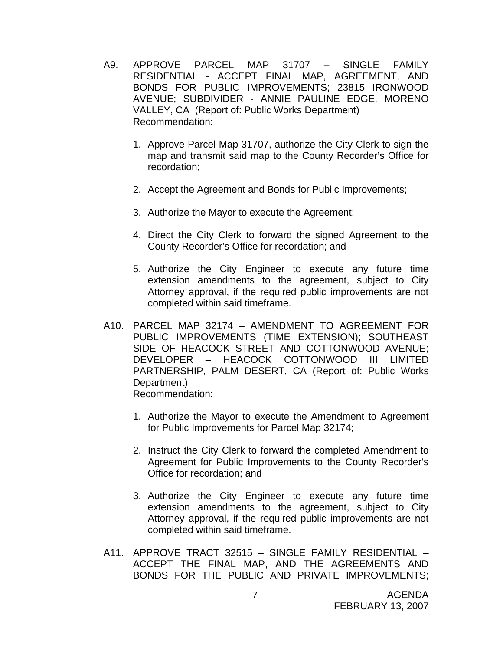- A9. APPROVE PARCEL MAP 31707 SINGLE FAMILY RESIDENTIAL - ACCEPT FINAL MAP, AGREEMENT, AND BONDS FOR PUBLIC IMPROVEMENTS; 23815 IRONWOOD AVENUE; SUBDIVIDER - ANNIE PAULINE EDGE, MORENO VALLEY, CA (Report of: Public Works Department) Recommendation:
	- 1. Approve Parcel Map 31707, authorize the City Clerk to sign the map and transmit said map to the County Recorder's Office for recordation;
	- 2. Accept the Agreement and Bonds for Public Improvements;
	- 3. Authorize the Mayor to execute the Agreement;
	- 4. Direct the City Clerk to forward the signed Agreement to the County Recorder's Office for recordation; and
	- 5. Authorize the City Engineer to execute any future time extension amendments to the agreement, subject to City Attorney approval, if the required public improvements are not completed within said timeframe.
- A10. PARCEL MAP 32174 AMENDMENT TO AGREEMENT FOR PUBLIC IMPROVEMENTS (TIME EXTENSION); SOUTHEAST SIDE OF HEACOCK STREET AND COTTONWOOD AVENUE; DEVELOPER – HEACOCK COTTONWOOD III LIMITED PARTNERSHIP, PALM DESERT, CA (Report of: Public Works Department) Recommendation:
	- 1. Authorize the Mayor to execute the Amendment to Agreement for Public Improvements for Parcel Map 32174;
	- 2. Instruct the City Clerk to forward the completed Amendment to Agreement for Public Improvements to the County Recorder's Office for recordation; and
	- 3. Authorize the City Engineer to execute any future time extension amendments to the agreement, subject to City Attorney approval, if the required public improvements are not completed within said timeframe.
- A11. APPROVE TRACT 32515 SINGLE FAMILY RESIDENTIAL ACCEPT THE FINAL MAP, AND THE AGREEMENTS AND BONDS FOR THE PUBLIC AND PRIVATE IMPROVEMENTS;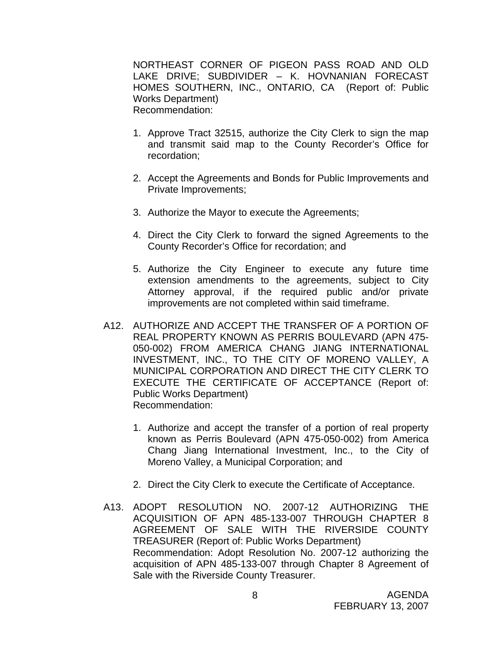NORTHEAST CORNER OF PIGEON PASS ROAD AND OLD LAKE DRIVE; SUBDIVIDER – K. HOVNANIAN FORECAST HOMES SOUTHERN, INC., ONTARIO, CA (Report of: Public Works Department) Recommendation:

- 1. Approve Tract 32515, authorize the City Clerk to sign the map and transmit said map to the County Recorder's Office for recordation;
- 2. Accept the Agreements and Bonds for Public Improvements and Private Improvements;
- 3. Authorize the Mayor to execute the Agreements;
- 4. Direct the City Clerk to forward the signed Agreements to the County Recorder's Office for recordation; and
- 5. Authorize the City Engineer to execute any future time extension amendments to the agreements, subject to City Attorney approval, if the required public and/or private improvements are not completed within said timeframe.
- A12. AUTHORIZE AND ACCEPT THE TRANSFER OF A PORTION OF REAL PROPERTY KNOWN AS PERRIS BOULEVARD (APN 475- 050-002) FROM AMERICA CHANG JIANG INTERNATIONAL INVESTMENT, INC., TO THE CITY OF MORENO VALLEY, A MUNICIPAL CORPORATION AND DIRECT THE CITY CLERK TO EXECUTE THE CERTIFICATE OF ACCEPTANCE (Report of: Public Works Department) Recommendation:
	- 1. Authorize and accept the transfer of a portion of real property known as Perris Boulevard (APN 475-050-002) from America Chang Jiang International Investment, Inc., to the City of Moreno Valley, a Municipal Corporation; and
	- 2. Direct the City Clerk to execute the Certificate of Acceptance.
- A13. ADOPT RESOLUTION NO. 2007-12 AUTHORIZING THE ACQUISITION OF APN 485-133-007 THROUGH CHAPTER 8 AGREEMENT OF SALE WITH THE RIVERSIDE COUNTY TREASURER (Report of: Public Works Department) Recommendation: Adopt Resolution No. 2007-12 authorizing the acquisition of APN 485-133-007 through Chapter 8 Agreement of Sale with the Riverside County Treasurer.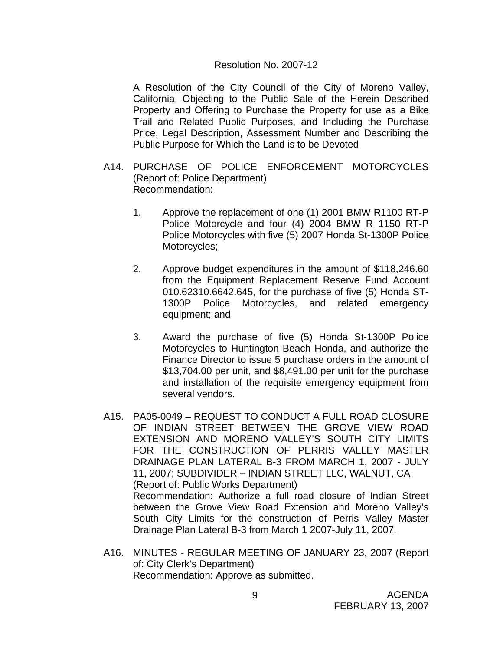#### Resolution No. 2007-12

A Resolution of the City Council of the City of Moreno Valley, California, Objecting to the Public Sale of the Herein Described Property and Offering to Purchase the Property for use as a Bike Trail and Related Public Purposes, and Including the Purchase Price, Legal Description, Assessment Number and Describing the Public Purpose for Which the Land is to be Devoted

- A14. PURCHASE OF POLICE ENFORCEMENT MOTORCYCLES (Report of: Police Department) Recommendation:
	- 1. Approve the replacement of one (1) 2001 BMW R1100 RT-P Police Motorcycle and four (4) 2004 BMW R 1150 RT-P Police Motorcycles with five (5) 2007 Honda St-1300P Police Motorcycles;
	- 2. Approve budget expenditures in the amount of \$118,246.60 from the Equipment Replacement Reserve Fund Account 010.62310.6642.645, for the purchase of five (5) Honda ST-1300P Police Motorcycles, and related emergency equipment; and
	- 3. Award the purchase of five (5) Honda St-1300P Police Motorcycles to Huntington Beach Honda, and authorize the Finance Director to issue 5 purchase orders in the amount of \$13,704.00 per unit, and \$8,491.00 per unit for the purchase and installation of the requisite emergency equipment from several vendors.
- A15. PA05-0049 REQUEST TO CONDUCT A FULL ROAD CLOSURE OF INDIAN STREET BETWEEN THE GROVE VIEW ROAD EXTENSION AND MORENO VALLEY'S SOUTH CITY LIMITS FOR THE CONSTRUCTION OF PERRIS VALLEY MASTER DRAINAGE PLAN LATERAL B-3 FROM MARCH 1, 2007 - JULY 11, 2007; SUBDIVIDER – INDIAN STREET LLC, WALNUT, CA (Report of: Public Works Department) Recommendation: Authorize a full road closure of Indian Street between the Grove View Road Extension and Moreno Valley's South City Limits for the construction of Perris Valley Master Drainage Plan Lateral B-3 from March 1 2007-July 11, 2007.
- A16. MINUTES REGULAR MEETING OF JANUARY 23, 2007 (Report of: City Clerk's Department) Recommendation: Approve as submitted.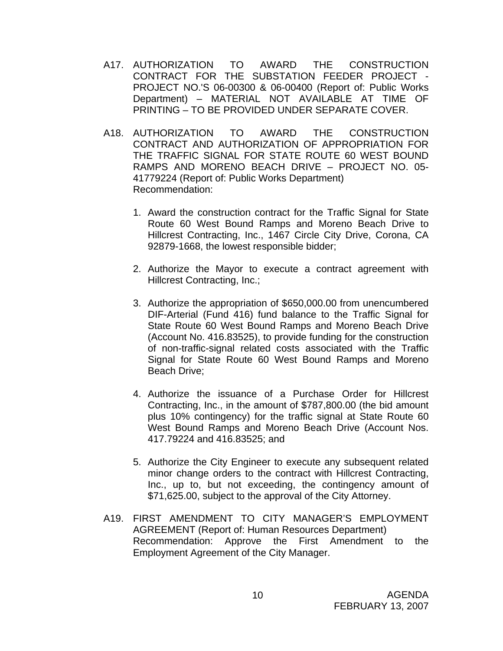- A17. AUTHORIZATION TO AWARD THE CONSTRUCTION CONTRACT FOR THE SUBSTATION FEEDER PROJECT - PROJECT NO.'S 06-00300 & 06-00400 (Report of: Public Works Department) – MATERIAL NOT AVAILABLE AT TIME OF PRINTING – TO BE PROVIDED UNDER SEPARATE COVER.
- A18. AUTHORIZATION TO AWARD THE CONSTRUCTION CONTRACT AND AUTHORIZATION OF APPROPRIATION FOR THE TRAFFIC SIGNAL FOR STATE ROUTE 60 WEST BOUND RAMPS AND MORENO BEACH DRIVE – PROJECT NO. 05- 41779224 (Report of: Public Works Department) Recommendation:
	- 1. Award the construction contract for the Traffic Signal for State Route 60 West Bound Ramps and Moreno Beach Drive to Hillcrest Contracting, Inc., 1467 Circle City Drive, Corona, CA 92879-1668, the lowest responsible bidder;
	- 2. Authorize the Mayor to execute a contract agreement with Hillcrest Contracting, Inc.;
	- 3. Authorize the appropriation of \$650,000.00 from unencumbered DIF-Arterial (Fund 416) fund balance to the Traffic Signal for State Route 60 West Bound Ramps and Moreno Beach Drive (Account No. 416.83525), to provide funding for the construction of non-traffic-signal related costs associated with the Traffic Signal for State Route 60 West Bound Ramps and Moreno Beach Drive;
	- 4. Authorize the issuance of a Purchase Order for Hillcrest Contracting, Inc., in the amount of \$787,800.00 (the bid amount plus 10% contingency) for the traffic signal at State Route 60 West Bound Ramps and Moreno Beach Drive (Account Nos. 417.79224 and 416.83525; and
	- 5. Authorize the City Engineer to execute any subsequent related minor change orders to the contract with Hillcrest Contracting, Inc., up to, but not exceeding, the contingency amount of \$71,625.00, subject to the approval of the City Attorney.
- A19. FIRST AMENDMENT TO CITY MANAGER'S EMPLOYMENT AGREEMENT (Report of: Human Resources Department) Recommendation: Approve the First Amendment to the Employment Agreement of the City Manager.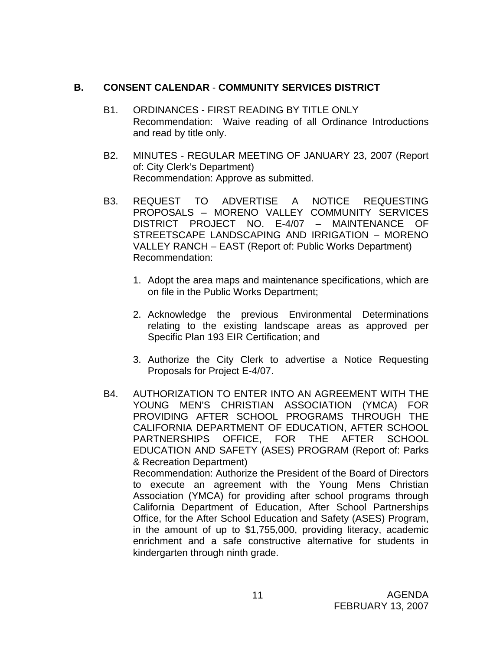# **B. CONSENT CALENDAR** - **COMMUNITY SERVICES DISTRICT**

- B1. ORDINANCES FIRST READING BY TITLE ONLY Recommendation: Waive reading of all Ordinance Introductions and read by title only.
- B2. MINUTES REGULAR MEETING OF JANUARY 23, 2007 (Report of: City Clerk's Department) Recommendation: Approve as submitted.
- B3. REQUEST TO ADVERTISE A NOTICE REQUESTING PROPOSALS – MORENO VALLEY COMMUNITY SERVICES DISTRICT PROJECT NO. E-4/07 – MAINTENANCE OF STREETSCAPE LANDSCAPING AND IRRIGATION – MORENO VALLEY RANCH – EAST (Report of: Public Works Department) Recommendation:
	- 1. Adopt the area maps and maintenance specifications, which are on file in the Public Works Department;
	- 2. Acknowledge the previous Environmental Determinations relating to the existing landscape areas as approved per Specific Plan 193 EIR Certification; and
	- 3. Authorize the City Clerk to advertise a Notice Requesting Proposals for Project E-4/07.
- B4. AUTHORIZATION TO ENTER INTO AN AGREEMENT WITH THE YOUNG MEN'S CHRISTIAN ASSOCIATION (YMCA) FOR PROVIDING AFTER SCHOOL PROGRAMS THROUGH THE CALIFORNIA DEPARTMENT OF EDUCATION, AFTER SCHOOL PARTNERSHIPS OFFICE, FOR THE AFTER SCHOOL EDUCATION AND SAFETY (ASES) PROGRAM (Report of: Parks & Recreation Department)

 Recommendation: Authorize the President of the Board of Directors to execute an agreement with the Young Mens Christian Association (YMCA) for providing after school programs through California Department of Education, After School Partnerships Office, for the After School Education and Safety (ASES) Program, in the amount of up to \$1,755,000, providing literacy, academic enrichment and a safe constructive alternative for students in kindergarten through ninth grade.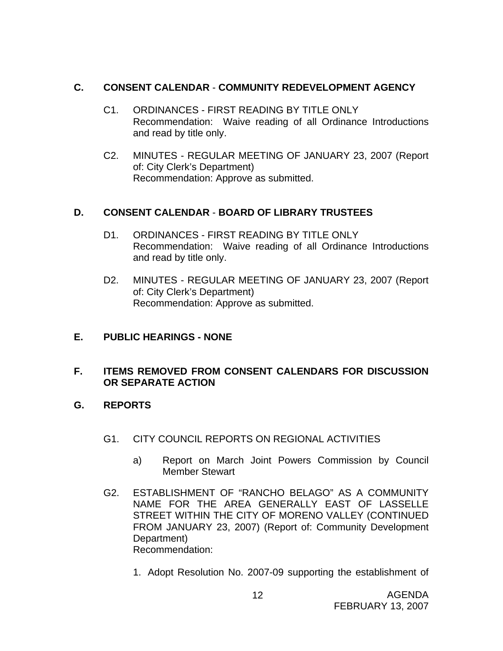# **C. CONSENT CALENDAR** - **COMMUNITY REDEVELOPMENT AGENCY**

- C1. ORDINANCES FIRST READING BY TITLE ONLY Recommendation: Waive reading of all Ordinance Introductions and read by title only.
- C2. MINUTES REGULAR MEETING OF JANUARY 23, 2007 (Report of: City Clerk's Department) Recommendation: Approve as submitted.

# **D. CONSENT CALENDAR** - **BOARD OF LIBRARY TRUSTEES**

- D1. ORDINANCES FIRST READING BY TITLE ONLY Recommendation: Waive reading of all Ordinance Introductions and read by title only.
- D2. MINUTES REGULAR MEETING OF JANUARY 23, 2007 (Report of: City Clerk's Department) Recommendation: Approve as submitted.

# **E. PUBLIC HEARINGS - NONE**

# **F. ITEMS REMOVED FROM CONSENT CALENDARS FOR DISCUSSION OR SEPARATE ACTION**

- **G. REPORTS** 
	- G1. CITY COUNCIL REPORTS ON REGIONAL ACTIVITIES
		- a) Report on March Joint Powers Commission by Council Member Stewart
	- G2. ESTABLISHMENT OF "RANCHO BELAGO" AS A COMMUNITY NAME FOR THE AREA GENERALLY EAST OF LASSELLE STREET WITHIN THE CITY OF MORENO VALLEY (CONTINUED FROM JANUARY 23, 2007) (Report of: Community Development Department) Recommendation:
		- 1. Adopt Resolution No. 2007-09 supporting the establishment of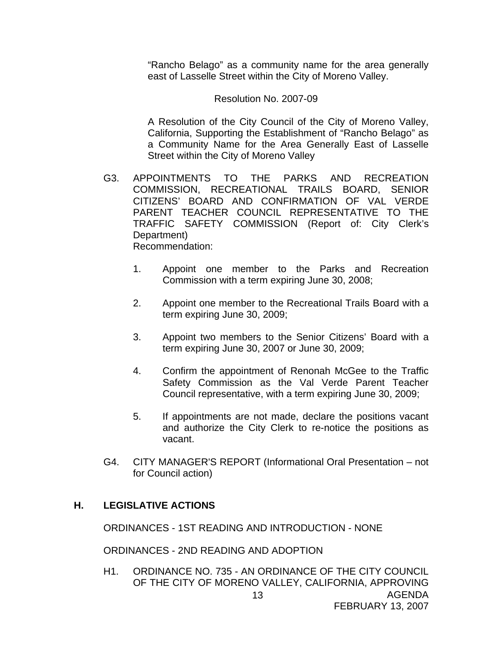"Rancho Belago" as a community name for the area generally east of Lasselle Street within the City of Moreno Valley.

#### Resolution No. 2007-09

A Resolution of the City Council of the City of Moreno Valley, California, Supporting the Establishment of "Rancho Belago" as a Community Name for the Area Generally East of Lasselle Street within the City of Moreno Valley

- G3. APPOINTMENTS TO THE PARKS AND RECREATION COMMISSION, RECREATIONAL TRAILS BOARD, SENIOR CITIZENS' BOARD AND CONFIRMATION OF VAL VERDE PARENT TEACHER COUNCIL REPRESENTATIVE TO THE TRAFFIC SAFETY COMMISSION (Report of: City Clerk's Department) Recommendation:
	- 1. Appoint one member to the Parks and Recreation Commission with a term expiring June 30, 2008;
	- 2. Appoint one member to the Recreational Trails Board with a term expiring June 30, 2009;
	- 3. Appoint two members to the Senior Citizens' Board with a term expiring June 30, 2007 or June 30, 2009;
	- 4. Confirm the appointment of Renonah McGee to the Traffic Safety Commission as the Val Verde Parent Teacher Council representative, with a term expiring June 30, 2009;
	- 5. If appointments are not made, declare the positions vacant and authorize the City Clerk to re-notice the positions as vacant.
- G4. CITY MANAGER'S REPORT (Informational Oral Presentation not for Council action)

### **H. LEGISLATIVE ACTIONS**

ORDINANCES - 1ST READING AND INTRODUCTION - NONE

ORDINANCES - 2ND READING AND ADOPTION

AGENDA FEBRUARY 13, 2007 13 H1. ORDINANCE NO. 735 - AN ORDINANCE OF THE CITY COUNCIL OF THE CITY OF MORENO VALLEY, CALIFORNIA, APPROVING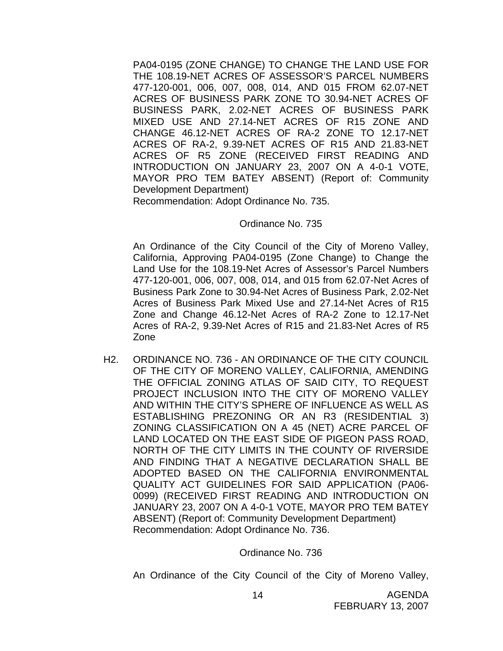PA04-0195 (ZONE CHANGE) TO CHANGE THE LAND USE FOR THE 108.19-NET ACRES OF ASSESSOR'S PARCEL NUMBERS 477-120-001, 006, 007, 008, 014, AND 015 FROM 62.07-NET ACRES OF BUSINESS PARK ZONE TO 30.94-NET ACRES OF BUSINESS PARK, 2.02-NET ACRES OF BUSINESS PARK MIXED USE AND 27.14-NET ACRES OF R15 ZONE AND CHANGE 46.12-NET ACRES OF RA-2 ZONE TO 12.17-NET ACRES OF RA-2, 9.39-NET ACRES OF R15 AND 21.83-NET ACRES OF R5 ZONE (RECEIVED FIRST READING AND INTRODUCTION ON JANUARY 23, 2007 ON A 4-0-1 VOTE, MAYOR PRO TEM BATEY ABSENT) (Report of: Community Development Department)

Recommendation: Adopt Ordinance No. 735.

#### Ordinance No. 735

An Ordinance of the City Council of the City of Moreno Valley, California, Approving PA04-0195 (Zone Change) to Change the Land Use for the 108.19-Net Acres of Assessor's Parcel Numbers 477-120-001, 006, 007, 008, 014, and 015 from 62.07-Net Acres of Business Park Zone to 30.94-Net Acres of Business Park, 2.02-Net Acres of Business Park Mixed Use and 27.14-Net Acres of R15 Zone and Change 46.12-Net Acres of RA-2 Zone to 12.17-Net Acres of RA-2, 9.39-Net Acres of R15 and 21.83-Net Acres of R5 Zone

H2. ORDINANCE NO. 736 - AN ORDINANCE OF THE CITY COUNCIL OF THE CITY OF MORENO VALLEY, CALIFORNIA, AMENDING THE OFFICIAL ZONING ATLAS OF SAID CITY, TO REQUEST PROJECT INCLUSION INTO THE CITY OF MORENO VALLEY AND WITHIN THE CITY'S SPHERE OF INFLUENCE AS WELL AS ESTABLISHING PREZONING OR AN R3 (RESIDENTIAL 3) ZONING CLASSIFICATION ON A 45 (NET) ACRE PARCEL OF LAND LOCATED ON THE EAST SIDE OF PIGEON PASS ROAD, NORTH OF THE CITY LIMITS IN THE COUNTY OF RIVERSIDE AND FINDING THAT A NEGATIVE DECLARATION SHALL BE ADOPTED BASED ON THE CALIFORNIA ENVIRONMENTAL QUALITY ACT GUIDELINES FOR SAID APPLICATION (PA06- 0099) (RECEIVED FIRST READING AND INTRODUCTION ON JANUARY 23, 2007 ON A 4-0-1 VOTE, MAYOR PRO TEM BATEY ABSENT) (Report of: Community Development Department) Recommendation: Adopt Ordinance No. 736.

#### Ordinance No. 736

An Ordinance of the City Council of the City of Moreno Valley,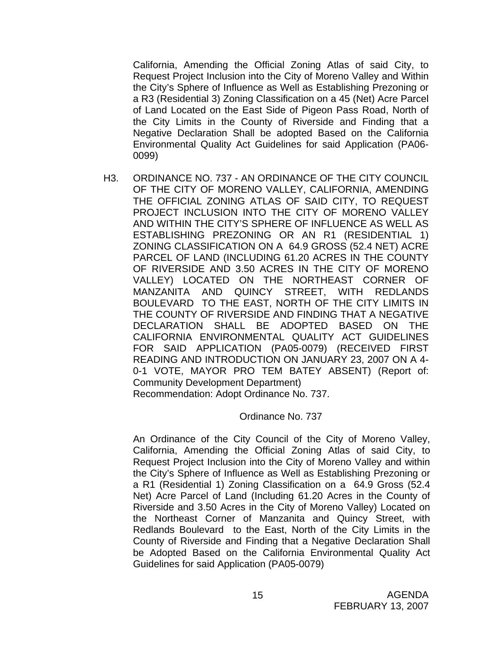California, Amending the Official Zoning Atlas of said City, to Request Project Inclusion into the City of Moreno Valley and Within the City's Sphere of Influence as Well as Establishing Prezoning or a R3 (Residential 3) Zoning Classification on a 45 (Net) Acre Parcel of Land Located on the East Side of Pigeon Pass Road, North of the City Limits in the County of Riverside and Finding that a Negative Declaration Shall be adopted Based on the California Environmental Quality Act Guidelines for said Application (PA06- 0099)

H3. ORDINANCE NO. 737 - AN ORDINANCE OF THE CITY COUNCIL OF THE CITY OF MORENO VALLEY, CALIFORNIA, AMENDING THE OFFICIAL ZONING ATLAS OF SAID CITY, TO REQUEST PROJECT INCLUSION INTO THE CITY OF MORENO VALLEY AND WITHIN THE CITY'S SPHERE OF INFLUENCE AS WELL AS ESTABLISHING PREZONING OR AN R1 (RESIDENTIAL 1) ZONING CLASSIFICATION ON A 64.9 GROSS (52.4 NET) ACRE PARCEL OF LAND (INCLUDING 61.20 ACRES IN THE COUNTY OF RIVERSIDE AND 3.50 ACRES IN THE CITY OF MORENO VALLEY) LOCATED ON THE NORTHEAST CORNER OF MANZANITA AND QUINCY STREET, WITH REDLANDS BOULEVARD TO THE EAST, NORTH OF THE CITY LIMITS IN THE COUNTY OF RIVERSIDE AND FINDING THAT A NEGATIVE DECLARATION SHALL BE ADOPTED BASED ON THE CALIFORNIA ENVIRONMENTAL QUALITY ACT GUIDELINES FOR SAID APPLICATION (PA05-0079) (RECEIVED FIRST READING AND INTRODUCTION ON JANUARY 23, 2007 ON A 4- 0-1 VOTE, MAYOR PRO TEM BATEY ABSENT) (Report of: Community Development Department) Recommendation: Adopt Ordinance No. 737.

### Ordinance No. 737

An Ordinance of the City Council of the City of Moreno Valley, California, Amending the Official Zoning Atlas of said City, to Request Project Inclusion into the City of Moreno Valley and within the City's Sphere of Influence as Well as Establishing Prezoning or a R1 (Residential 1) Zoning Classification on a 64.9 Gross (52.4 Net) Acre Parcel of Land (Including 61.20 Acres in the County of Riverside and 3.50 Acres in the City of Moreno Valley) Located on the Northeast Corner of Manzanita and Quincy Street, with Redlands Boulevard to the East, North of the City Limits in the County of Riverside and Finding that a Negative Declaration Shall be Adopted Based on the California Environmental Quality Act Guidelines for said Application (PA05-0079)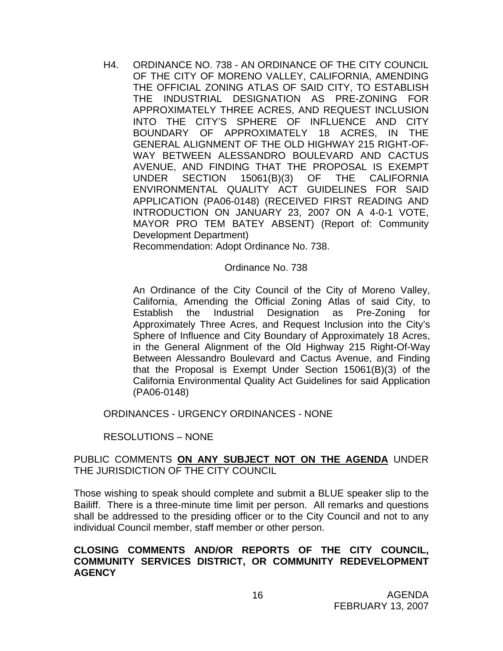H4. ORDINANCE NO. 738 - AN ORDINANCE OF THE CITY COUNCIL OF THE CITY OF MORENO VALLEY, CALIFORNIA, AMENDING THE OFFICIAL ZONING ATLAS OF SAID CITY, TO ESTABLISH THE INDUSTRIAL DESIGNATION AS PRE-ZONING FOR APPROXIMATELY THREE ACRES, AND REQUEST INCLUSION INTO THE CITY'S SPHERE OF INFLUENCE AND CITY BOUNDARY OF APPROXIMATELY 18 ACRES, IN THE GENERAL ALIGNMENT OF THE OLD HIGHWAY 215 RIGHT-OF-WAY BETWEEN ALESSANDRO BOULEVARD AND CACTUS AVENUE, AND FINDING THAT THE PROPOSAL IS EXEMPT UNDER SECTION 15061(B)(3) OF THE CALIFORNIA ENVIRONMENTAL QUALITY ACT GUIDELINES FOR SAID APPLICATION (PA06-0148) (RECEIVED FIRST READING AND INTRODUCTION ON JANUARY 23, 2007 ON A 4-0-1 VOTE, MAYOR PRO TEM BATEY ABSENT) (Report of: Community Development Department)

Recommendation: Adopt Ordinance No. 738.

### Ordinance No. 738

An Ordinance of the City Council of the City of Moreno Valley, California, Amending the Official Zoning Atlas of said City, to Establish the Industrial Designation as Pre-Zoning for Approximately Three Acres, and Request Inclusion into the City's Sphere of Influence and City Boundary of Approximately 18 Acres, in the General Alignment of the Old Highway 215 Right-Of-Way Between Alessandro Boulevard and Cactus Avenue, and Finding that the Proposal is Exempt Under Section 15061(B)(3) of the California Environmental Quality Act Guidelines for said Application (PA06-0148)

ORDINANCES - URGENCY ORDINANCES - NONE

### RESOLUTIONS – NONE

### PUBLIC COMMENTS **ON ANY SUBJECT NOT ON THE AGENDA** UNDER THE JURISDICTION OF THE CITY COUNCIL

Those wishing to speak should complete and submit a BLUE speaker slip to the Bailiff. There is a three-minute time limit per person. All remarks and questions shall be addressed to the presiding officer or to the City Council and not to any individual Council member, staff member or other person.

### **CLOSING COMMENTS AND/OR REPORTS OF THE CITY COUNCIL, COMMUNITY SERVICES DISTRICT, OR COMMUNITY REDEVELOPMENT AGENCY**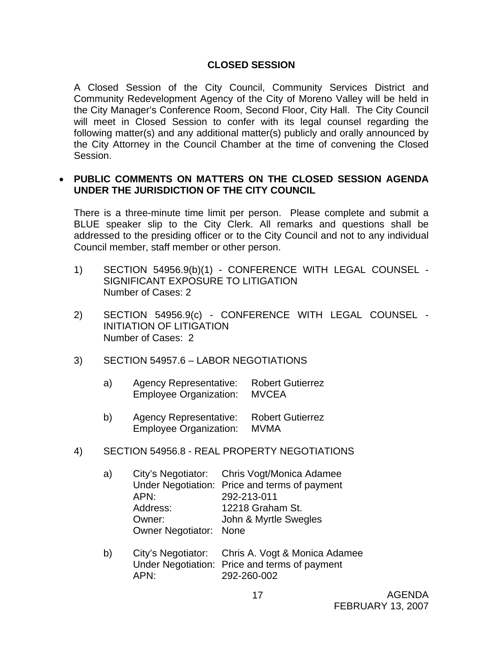# **CLOSED SESSION**

A Closed Session of the City Council, Community Services District and Community Redevelopment Agency of the City of Moreno Valley will be held in the City Manager's Conference Room, Second Floor, City Hall. The City Council will meet in Closed Session to confer with its legal counsel regarding the following matter(s) and any additional matter(s) publicly and orally announced by the City Attorney in the Council Chamber at the time of convening the Closed Session.

### • **PUBLIC COMMENTS ON MATTERS ON THE CLOSED SESSION AGENDA UNDER THE JURISDICTION OF THE CITY COUNCIL**

There is a three-minute time limit per person. Please complete and submit a BLUE speaker slip to the City Clerk. All remarks and questions shall be addressed to the presiding officer or to the City Council and not to any individual Council member, staff member or other person.

- 1) SECTION 54956.9(b)(1) CONFERENCE WITH LEGAL COUNSEL SIGNIFICANT EXPOSURE TO LITIGATION Number of Cases: 2
- 2) SECTION 54956.9(c) CONFERENCE WITH LEGAL COUNSEL INITIATION OF LITIGATION Number of Cases: 2
- 3) SECTION 54957.6 LABOR NEGOTIATIONS
	- a) Agency Representative: Robert Gutierrez Employee Organization: MVCEA
	- b) Agency Representative: Robert Gutierrez Employee Organization: MVMA
- 4) SECTION 54956.8 REAL PROPERTY NEGOTIATIONS

| a) |                        | City's Negotiator: Chris Vogt/Monica Adamee   |
|----|------------------------|-----------------------------------------------|
|    |                        | Under Negotiation: Price and terms of payment |
|    | APN:                   | 292-213-011                                   |
|    | Address:               | 12218 Graham St.                              |
|    | Owner:                 | John & Myrtle Swegles                         |
|    | Owner Negotiator: None |                                               |
|    |                        |                                               |

 b) City's Negotiator: Chris A. Vogt & Monica Adamee Under Negotiation: Price and terms of payment APN: 292-260-002